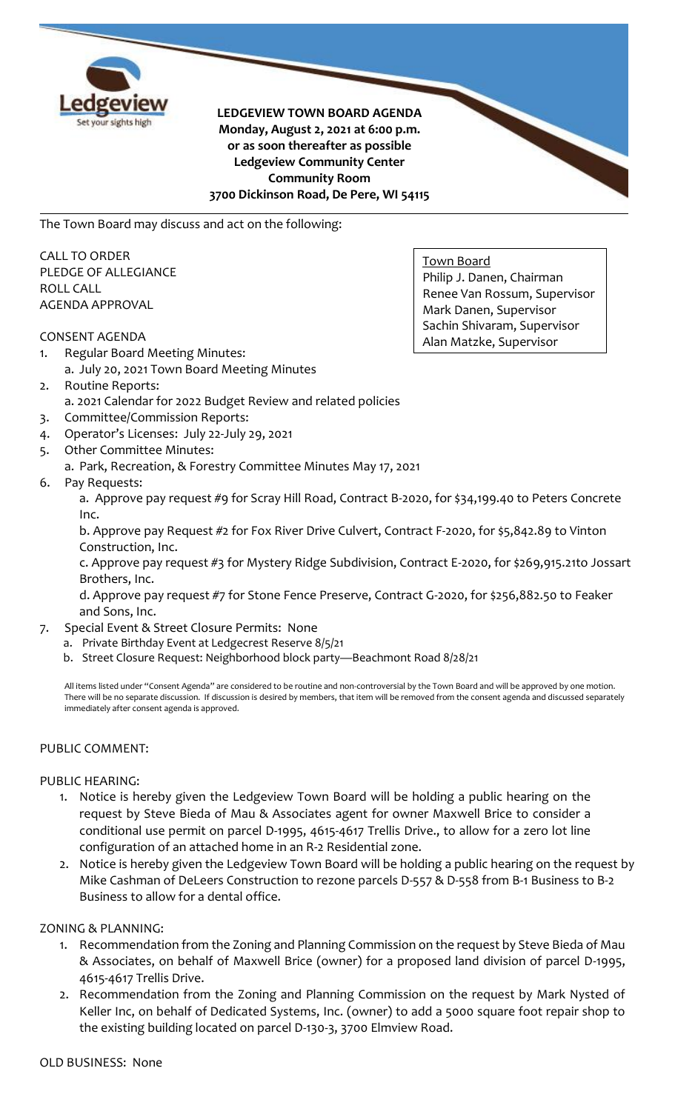

**LEDGEVIEW TOWN BOARD AGENDA Monday, August 2, 2021 at 6:00 p.m. or as soon thereafter as possible Ledgeview Community Center Community Room 3700 Dickinson Road, De Pere, WI 54115**

The Town Board may discuss and act on the following:

CALL TO ORDER PLEDGE OF ALLEGIANCE ROLL CALL AGENDA APPROVAL

## CONSENT AGENDA

- 1. Regular Board Meeting Minutes:
	- a. July 20, 2021 Town Board Meeting Minutes
- 2. Routine Reports:
	- a. 2021 Calendar for 2022 Budget Review and related policies
- 3. Committee/Commission Reports:
- 4. Operator's Licenses: July 22-July 29, 2021
- 5. Other Committee Minutes:
	- a. Park, Recreation, & Forestry Committee Minutes May 17, 2021
- 6. Pay Requests:

a. Approve pay request #9 for Scray Hill Road, Contract B-2020, for \$34,199.40 to Peters Concrete Inc.

b. Approve pay Request #2 for Fox River Drive Culvert, Contract F-2020, for \$5,842.89 to Vinton Construction, Inc.

c. Approve pay request #3 for Mystery Ridge Subdivision, Contract E-2020, for \$269,915.21to Jossart Brothers, Inc.

d. Approve pay request #7 for Stone Fence Preserve, Contract G-2020, for \$256,882.50 to Feaker and Sons, Inc.

- 7. Special Event & Street Closure Permits: None
	- a. Private Birthday Event at Ledgecrest Reserve 8/5/21
	- b. Street Closure Request: Neighborhood block party—Beachmont Road 8/28/21

All items listed under "Consent Agenda" are considered to be routine and non-controversial by the Town Board and will be approved by one motion. There will be no separate discussion. If discussion is desired by members, that item will be removed from the consent agenda and discussed separately immediately after consent agenda is approved.

# PUBLIC COMMENT:

#### PUBLIC HEARING:

- 1. Notice is hereby given the Ledgeview Town Board will be holding a public hearing on the request by Steve Bieda of Mau & Associates agent for owner Maxwell Brice to consider a conditional use permit on parcel D-1995, 4615-4617 Trellis Drive., to allow for a zero lot line configuration of an attached home in an R-2 Residential zone.
- 2. Notice is hereby given the Ledgeview Town Board will be holding a public hearing on the request by Mike Cashman of DeLeers Construction to rezone parcels D-557 & D-558 from B-1 Business to B-2 Business to allow for a dental office.

# ZONING & PLANNING:

- 1. Recommendation from the Zoning and Planning Commission on the request by Steve Bieda of Mau & Associates, on behalf of Maxwell Brice (owner) for a proposed land division of parcel D-1995, 4615-4617 Trellis Drive.
- 2. Recommendation from the Zoning and Planning Commission on the request by Mark Nysted of Keller Inc, on behalf of Dedicated Systems, Inc. (owner) to add a 5000 square foot repair shop to the existing building located on parcel D-130-3, 3700 Elmview Road.

Town Board Philip J. Danen, Chairman Renee Van Rossum, Supervisor Mark Danen, Supervisor Sachin Shivaram, Supervisor Alan Matzke, Supervisor